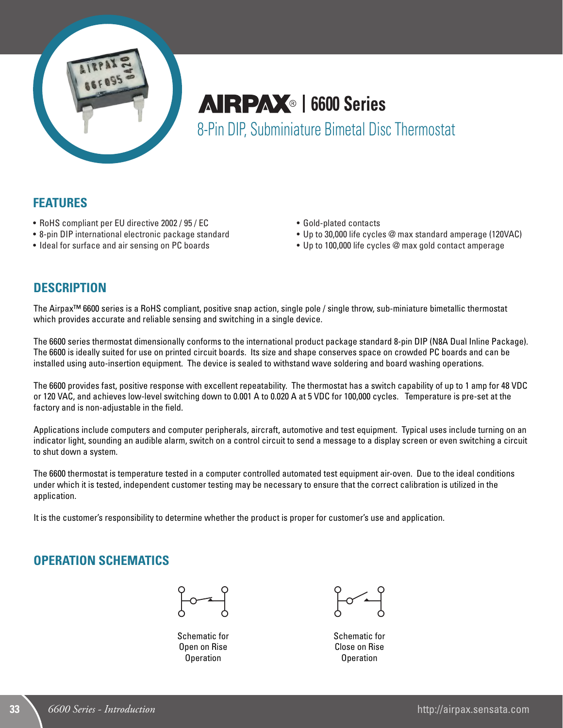

# **AIRPAX**® | 6600 Series 8-Pin DIP, Subminiature Bimetal Disc Thermostat

**FEATURES**

- RoHS compliant per EU directive 2002 / 95 / EC
- 8-pin DIP international electronic package standard
- Ideal for surface and air sensing on PC boards
- • Gold-plated contacts
- Up to 30,000 life cycles @ max standard amperage (120VAC)
- Up to 100,000 life cycles @ max gold contact amperage

#### **DESCRIPTION**

The Airpax™ 6600 series is a RoHS compliant, positive snap action, single pole / single throw, sub-miniature bimetallic thermostat which provides accurate and reliable sensing and switching in a single device.

The 6600 series thermostat dimensionally conforms to the international product package standard 8-pin DIP (N8A Dual Inline Package). The 6600 is ideally suited for use on printed circuit boards. Its size and shape conserves space on crowded PC boards and can be installed using auto-insertion equipment. The device is sealed to withstand wave soldering and board washing operations.

The 6600 provides fast, positive response with excellent repeatability. The thermostat has a switch capability of up to 1 amp for 48 VDC or 120 VAC, and achieves low-level switching down to 0.001 A to 0.020 A at 5 VDC for 100,000 cycles. Temperature is pre-set at the factory and is non-adjustable in the field.

Applications include computers and computer peripherals, aircraft, automotive and test equipment. Typical uses include turning on an indicator light, sounding an audible alarm, switch on a control circuit to send a message to a display screen or even switching a circuit to shut down a system.

The 6600 thermostat is temperature tested in a computer controlled automated test equipment air-oven. Due to the ideal conditions under which it is tested, independent customer testing may be necessary to ensure that the correct calibration is utilized in the application.

It is the customer's responsibility to determine whether the product is proper for customer's use and application.

#### **OPERATION SCHEMATICS**



Schematic for Open on Rise Operation



Schematic for Close on Rise **Operation**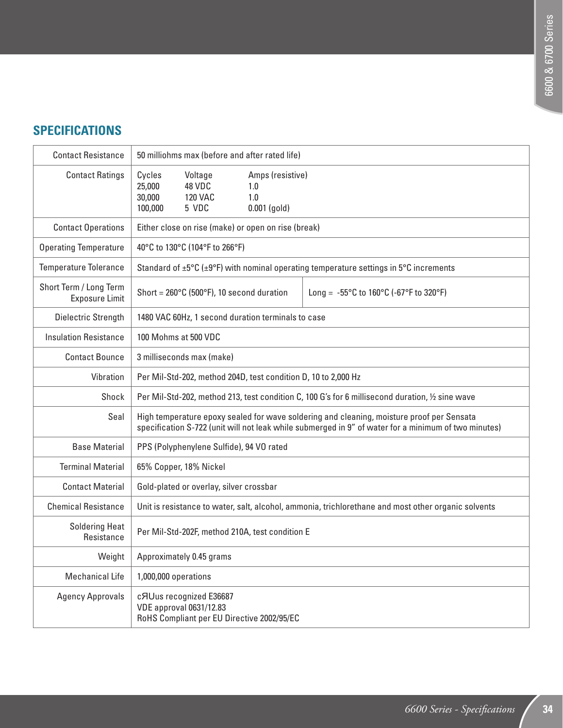#### **SPECIFICATIONS**

| <b>Contact Resistance</b>                | 50 milliohms max (before and after rated life)                                                                                                                                                    |  |  |  |  |  |
|------------------------------------------|---------------------------------------------------------------------------------------------------------------------------------------------------------------------------------------------------|--|--|--|--|--|
| <b>Contact Ratings</b>                   | Cycles<br>Voltage<br>Amps (resistive)<br>25,000<br>48 VDC<br>1.0<br>30,000<br><b>120 VAC</b><br>1.0<br>5 VDC<br>100,000<br>$0.001$ (gold)                                                         |  |  |  |  |  |
| <b>Contact Operations</b>                | Either close on rise (make) or open on rise (break)                                                                                                                                               |  |  |  |  |  |
| <b>Operating Temperature</b>             | 40°C to 130°C (104°F to 266°F)                                                                                                                                                                    |  |  |  |  |  |
| <b>Temperature Tolerance</b>             | Standard of $\pm 5^{\circ}$ C ( $\pm 9^{\circ}$ F) with nominal operating temperature settings in $5^{\circ}$ C increments                                                                        |  |  |  |  |  |
| Short Term / Long Term<br>Exposure Limit | Short = $260^{\circ}$ C (500 $^{\circ}$ F), 10 second duration<br>Long = $-55^{\circ}$ C to 160 $^{\circ}$ C (-67 $^{\circ}$ F to 320 $^{\circ}$ F)                                               |  |  |  |  |  |
| Dielectric Strength                      | 1480 VAC 60Hz, 1 second duration terminals to case                                                                                                                                                |  |  |  |  |  |
| <b>Insulation Resistance</b>             | 100 Mohms at 500 VDC                                                                                                                                                                              |  |  |  |  |  |
| <b>Contact Bounce</b>                    | 3 milliseconds max (make)                                                                                                                                                                         |  |  |  |  |  |
| Vibration                                | Per Mil-Std-202, method 204D, test condition D, 10 to 2,000 Hz                                                                                                                                    |  |  |  |  |  |
| Shock                                    | Per Mil-Std-202, method 213, test condition C, 100 G's for 6 millisecond duration, 1/2 sine wave                                                                                                  |  |  |  |  |  |
| Seal                                     | High temperature epoxy sealed for wave soldering and cleaning, moisture proof per Sensata<br>specification S-722 (unit will not leak while submerged in 9" of water for a minimum of two minutes) |  |  |  |  |  |
| <b>Base Material</b>                     | PPS (Polyphenylene Sulfide), 94 VO rated                                                                                                                                                          |  |  |  |  |  |
| <b>Terminal Material</b>                 | 65% Copper, 18% Nickel                                                                                                                                                                            |  |  |  |  |  |
| <b>Contact Material</b>                  | Gold-plated or overlay, silver crossbar                                                                                                                                                           |  |  |  |  |  |
| <b>Chemical Resistance</b>               | Unit is resistance to water, salt, alcohol, ammonia, trichlorethane and most other organic solvents                                                                                               |  |  |  |  |  |
| <b>Soldering Heat</b><br>Resistance      | Per Mil-Std-202F, method 210A, test condition E                                                                                                                                                   |  |  |  |  |  |
| Weight                                   | Approximately 0.45 grams                                                                                                                                                                          |  |  |  |  |  |
| <b>Mechanical Life</b>                   | 1,000,000 operations                                                                                                                                                                              |  |  |  |  |  |
| <b>Agency Approvals</b>                  | cAUus recognized E36687<br><b>VDE approval 0631/12.83</b><br>RoHS Compliant per EU Directive 2002/95/EC                                                                                           |  |  |  |  |  |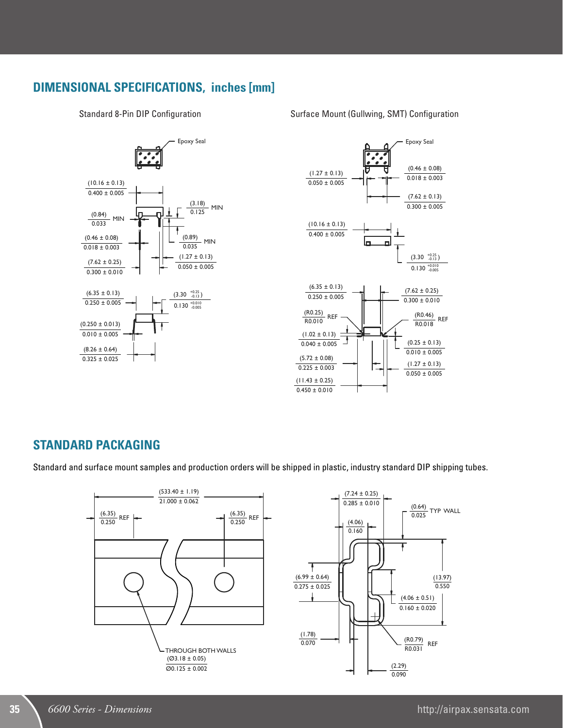#### **DIMENSIONAL SPECIFICATIONS, inches [mm]**

Standard 8-Pin DIP Configuration





## **STANDARD PACKAGING**

.<br>Standard and surface mount samples and production orders will be shipped in plastic, industry standard DIP shipping tubes.



#### Surface Mount (Gullwing, SMT) Configuration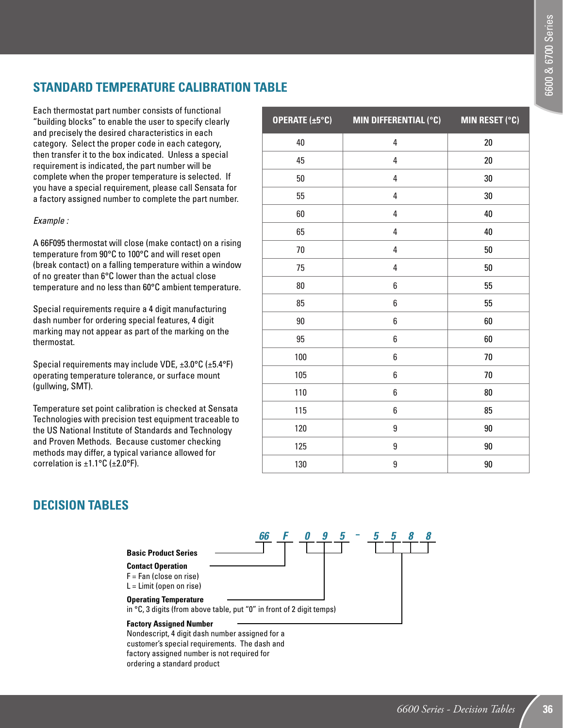## **STANDARD TEMPERATURE CALIBRATION TABLE**

Each thermostat part number consists of functional "building blocks" to enable the user to specify clearly and precisely the desired characteristics in each category. Select the proper code in each category, then transfer it to the box indicated. Unless a special requirement is indicated, the part number will be complete when the proper temperature is selected. If you have a special requirement, please call Sensata for a factory assigned number to complete the part number.

#### *Example :*

A 66F095 thermostat will close (make contact) on a rising temperature from 90°C to 100°C and will reset open (break contact) on a falling temperature within a window of no greater than 6°C lower than the actual close temperature and no less than 60°C ambient temperature.

Special requirements require a 4 digit manufacturing dash number for ordering special features, 4 digit marking may not appear as part of the marking on the thermostat.

Special requirements may include VDE, ±3.0°C (±5.4°F) operating temperature tolerance, or surface mount (gullwing, SMT).

Temperature set point calibration is checked at Sensata Technologies with precision test equipment traceable to the US National Institute of Standards and Technology and Proven Methods. Because customer checking methods may differ, a typical variance allowed for correlation is  $\pm 1.1$ °C ( $\pm 2.0$ °F).

| <b>OPERATE</b> $(\pm 5^{\circ}C)$ | MIN DIFFERENTIAL (°C) | <b>MIN RESET (°C)</b> |
|-----------------------------------|-----------------------|-----------------------|
| 40                                | 4                     | 20                    |
| 45                                | 4                     | 20                    |
| 50                                | 4                     | 30                    |
| 55                                | 4                     | 30                    |
| 60                                | 4                     | 40                    |
| 65                                | 4                     | 40                    |
| 70                                | 4                     | 50                    |
| 75                                | 4                     | 50                    |
| 80                                | 6                     | 55                    |
| 85                                | 6                     | 55                    |
| 90                                | 6                     | 60                    |
| 95                                | 6                     | 60                    |
| 100                               | 6                     | 70                    |
| 105                               | 6                     | 70                    |
| 110                               | 6                     | 80                    |
| 115                               | 6                     | 85                    |
| 120                               | 9                     | $90\,$                |
| 125                               | 9                     | 90                    |
| 130                               | 9                     | 90                    |

#### **DECISION TABLES**



Nondescript, 4 digit dash number assigned for a customer's special requirements. The dash and factory assigned number is not required for ordering a standard product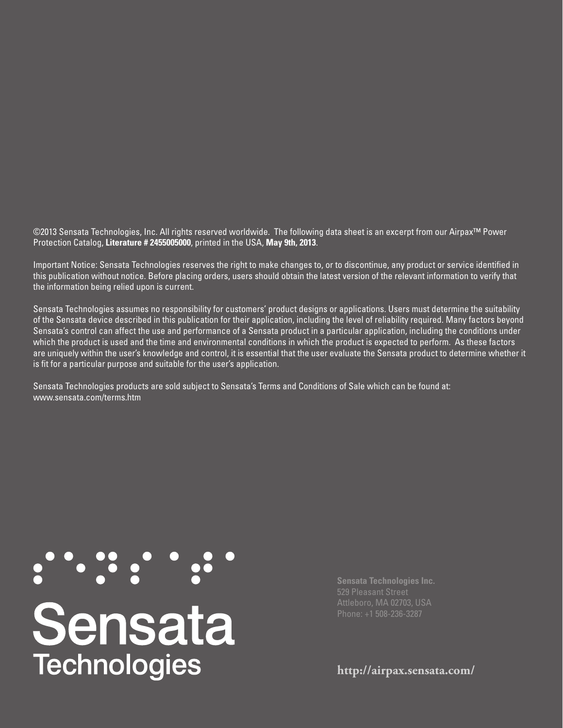©2013 Sensata Technologies, Inc. All rights reserved worldwide. The following data sheet is an excerpt from our Airpax™ Power Protection Catalog, **Literature # 2455005000**, printed in the USA, **May 9th, 2013**.

Important Notice: Sensata Technologies reserves the right to make changes to, or to discontinue, any product or service identified in this publication without notice. Before placing orders, users should obtain the latest version of the relevant information to verify that the information being relied upon is current.

Sensata Technologies assumes no responsibility for customers' product designs or applications. Users must determine the suitability of the Sensata device described in this publication for their application, including the level of reliability required. Many factors beyond Sensata's control can affect the use and performance of a Sensata product in a particular application, including the conditions under which the product is used and the time and environmental conditions in which the product is expected to perform. As these factors are uniquely within the user's knowledge and control, it is essential that the user evaluate the Sensata product to determine whether it is fit for a particular purpose and suitable for the user's application.

Sensata Technologies products are sold subject to Sensata's Terms and Conditions of Sale which can be found at: www.sensata.com/terms.htm

# **Sensata**<br>Technologies

**Sensata Technologies Inc.**

**http://airpax.sensata.com/**